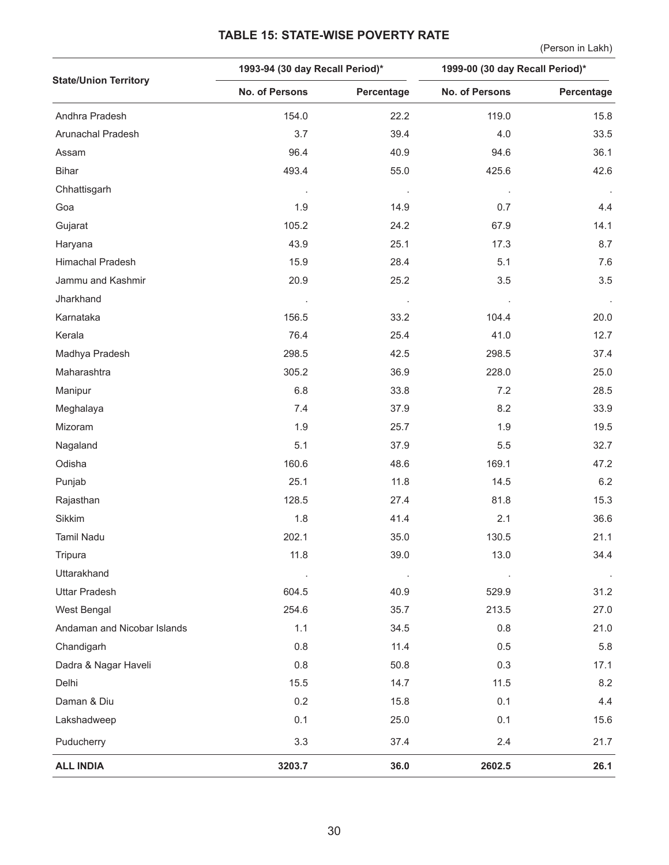## **TABLE 15: STATE-WISE POVERTY RATE**

(Person in Lakh)

|                              | 1993-94 (30 day Recall Period)* |            | 1999-00 (30 day Recall Period)* |            |  |
|------------------------------|---------------------------------|------------|---------------------------------|------------|--|
| <b>State/Union Territory</b> | <b>No. of Persons</b>           | Percentage | No. of Persons                  | Percentage |  |
| Andhra Pradesh               | 154.0                           | 22.2       | 119.0                           | 15.8       |  |
| Arunachal Pradesh            | 3.7                             | 39.4       | 4.0                             | 33.5       |  |
| Assam                        | 96.4                            | 40.9       | 94.6                            | 36.1       |  |
| <b>Bihar</b>                 | 493.4                           | 55.0       | 425.6                           | 42.6       |  |
| Chhattisgarh                 |                                 |            |                                 |            |  |
| Goa                          | 1.9                             | 14.9       | 0.7                             | 4.4        |  |
| Gujarat                      | 105.2                           | 24.2       | 67.9                            | 14.1       |  |
| Haryana                      | 43.9                            | 25.1       | 17.3                            | 8.7        |  |
| Himachal Pradesh             | 15.9                            | 28.4       | 5.1                             | 7.6        |  |
| Jammu and Kashmir            | 20.9                            | 25.2       | 3.5                             | 3.5        |  |
| Jharkhand                    |                                 |            |                                 |            |  |
| Karnataka                    | 156.5                           | 33.2       | 104.4                           | 20.0       |  |
| Kerala                       | 76.4                            | 25.4       | 41.0                            | 12.7       |  |
| Madhya Pradesh               | 298.5                           | 42.5       | 298.5                           | 37.4       |  |
| Maharashtra                  | 305.2                           | 36.9       | 228.0                           | 25.0       |  |
| Manipur                      | $6.8\,$                         | 33.8       | 7.2                             | 28.5       |  |
| Meghalaya                    | 7.4                             | 37.9       | 8.2                             | 33.9       |  |
| Mizoram                      | 1.9                             | 25.7       | 1.9                             | 19.5       |  |
| Nagaland                     | 5.1                             | 37.9       | 5.5                             | 32.7       |  |
| Odisha                       | 160.6                           | 48.6       | 169.1                           | 47.2       |  |
| Punjab                       | 25.1                            | 11.8       | 14.5                            | 6.2        |  |
| Rajasthan                    | 128.5                           | 27.4       | 81.8                            | 15.3       |  |
| Sikkim                       | 1.8                             | 41.4       | 2.1                             | 36.6       |  |
| Tamil Nadu                   | 202.1                           | 35.0       | 130.5                           | 21.1       |  |
| Tripura                      | 11.8                            | 39.0       | 13.0                            | 34.4       |  |
| Uttarakhand                  | $\cdot$                         |            |                                 | $\cdot$    |  |
| <b>Uttar Pradesh</b>         | 604.5                           | 40.9       | 529.9                           | 31.2       |  |
| West Bengal                  | 254.6                           | 35.7       | 213.5                           | 27.0       |  |
| Andaman and Nicobar Islands  | 1.1                             | 34.5       | 0.8                             | 21.0       |  |
| Chandigarh                   | 0.8                             | 11.4       | 0.5                             | 5.8        |  |
| Dadra & Nagar Haveli         | 0.8                             | 50.8       | 0.3                             | 17.1       |  |
| Delhi                        | 15.5                            | 14.7       | 11.5                            | 8.2        |  |
| Daman & Diu                  | 0.2                             | 15.8       | 0.1                             | 4.4        |  |
| Lakshadweep                  | 0.1                             | 25.0       | 0.1                             | 15.6       |  |
| Puducherry                   | 3.3                             | 37.4       | 2.4                             | 21.7       |  |
| <b>ALL INDIA</b>             | 3203.7                          | 36.0       | 2602.5                          | 26.1       |  |